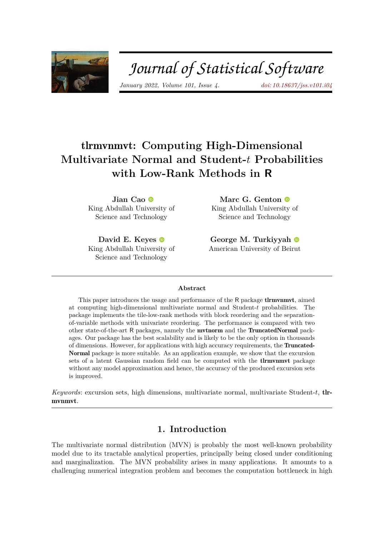

# Journal of Statistical Software

*January 2022, Volume 101, Issue 4. [doi: 10.18637/jss.v101.i04](https://doi.org/10.18637/jss.v101.i04)*

# tlrmvnmvt**: Computing High-Dimensional Multivariate Normal and Student-***t* **Probabilities with Low-Rank Methods in R**

**Jian Cao** King Abdullah University of Science and Technology

**David E. Keyes** King Abdullah Univer[sity](https://orcid.org/0000-0002-4052-7224) of Science and Technology

**Marc G. Genton** King Abdullah University of Science and Technology

**George M. Turkiyyah** American University of Bei[rut](https://orcid.org/0000-0002-1692-5812)

#### **Abstract**

This paper introduces the usage and performance of the R package **theories**, aimed at computing high-dimensional multivariate normal and Student-*t* probabilities. The package implements the tile-low-rank methods with block reordering and the separationof-variable methods with univariate reordering. The performance is compared with two other state-of-the-art R packages, namely the mvtnorm and the TruncatedNormal packages. Our package has the best scalability and is likely to be the only option in thousands of dimensions. However, for applications with high accuracy requirements, the Truncated-Normal package is more suitable. As an application example, we show that the excursion sets of a latent Gaussian random field can be computed with the **the implement** package without any model approximation and hence, the accuracy of the produced excursion sets is improved.

*Keywords*: excursion sets, high dimensions, multivariate normal, multivariate Student-*t*, tlrmvnmvt.

# **1. Introduction**

The multivariate normal distribution (MVN) is probably the most well-known probability model due to its tractable analytical properties, principally being closed under conditioning and marginalization. The MVN probability arises in many applications. It amounts to a challenging numerical integration problem and becomes the computation bottleneck in high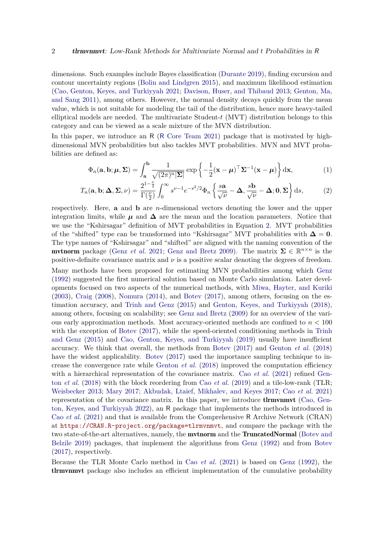dimensions. Such examples include Bayes classification [\(Durante](#page-22-0) [2019\)](#page-22-0), finding excursion and contour uncertainty regions [\(Bolin and Lindgren](#page-22-1) [2015\)](#page-22-1), and maximum likelihood estimation [\(Cao, Genton, Keyes, and Turkiyyah](#page-22-2) [2021;](#page-22-2) [Davison, Huser, and Thibaud](#page-22-3) [2013;](#page-22-3) [Genton, Ma,](#page-23-0) [and Sang](#page-23-0) [2011\)](#page-23-0), among others. However, the normal density decays quickly from the mean value, which is not suitable for modeling the tail of the distribution, hence more heavy-tailed elliptical models are needed. The multivariate Student-*t* (MVT) distribution belongs to this category and can be viewed as a scale mixture of the MVN distribution.

In this paper, we introduce an R (R [Core Team](#page-23-1) [2021\)](#page-23-1) package that is motivated by highdimensional MVN probabilities but also tackles MVT probabilities. MVN and MVT probabilities are defined as:

<span id="page-1-1"></span><span id="page-1-0"></span>
$$
\Phi_n(\mathbf{a}, \mathbf{b}; \boldsymbol{\mu}, \boldsymbol{\Sigma}) = \int_{\mathbf{a}}^{\mathbf{b}} \frac{1}{\sqrt{(2\pi)^n |\boldsymbol{\Sigma}|}} \exp\left\{-\frac{1}{2}(\mathbf{x} - \boldsymbol{\mu})^\top \boldsymbol{\Sigma}^{-1}(\mathbf{x} - \boldsymbol{\mu})\right\} d\mathbf{x},\tag{1}
$$

$$
T_n(\mathbf{a}, \mathbf{b}; \Delta, \Sigma, \nu) = \frac{2^{1-\frac{\nu}{2}}}{\Gamma(\frac{\nu}{2})} \int_0^\infty s^{\nu-1} e^{-s^2/2} \Phi_n \left\{ \frac{s\mathbf{a}}{\sqrt{\nu}} - \Delta, \frac{s\mathbf{b}}{\sqrt{\nu}} - \Delta; 0, \Sigma \right\} ds, \tag{2}
$$

respectively. Here, **a** and **b** are *n*-dimensional vectors denoting the lower and the upper integration limits, while  $\mu$  and  $\Delta$  are the mean and the location parameters. Notice that we use the "Kshirsagar" definition of MVT probabilities in Equation [2.](#page-1-0) MVT probabilities of the "shifted" type can be transformed into "Kshirsagar" MVT probabilities with  $\Delta = 0$ . The type names of "Kshirsagar" and "shifted" are aligned with the naming convention of the mvtnorm package [\(Genz](#page-23-2) *et al.* [2021;](#page-23-2) [Genz and Bretz](#page-23-3) [2009\)](#page-23-3). The matrix  $\Sigma \in \mathbb{R}^{n \times n}$  is the positive-definite covariance matrix and  $\nu$  is a positive scalar denoting the degrees of freedom.

Many methods have been proposed for estimating MVN probabilities among which [Genz](#page-23-4) [\(1992\)](#page-23-4) suggested the first numerical solution based on Monte Carlo simulation. Later developments focused on two aspects of the numerical methods, with [Miwa, Hayter, and Kuriki](#page-23-5)  $(2003)$ , [Craig](#page-22-4)  $(2008)$ , [Nomura](#page-23-6)  $(2014)$ , and [Botev](#page-22-5)  $(2017)$ , among others, focusing on the estimation accuracy, and [Trinh and Genz](#page-24-0) [\(2015\)](#page-24-0) and [Genton, Keyes, and Turkiyyah](#page-23-7) [\(2018\)](#page-23-7), among others, focusing on scalability; see [Genz and Bretz](#page-23-3) [\(2009\)](#page-23-3) for an overview of the various early approximation methods. Most accuracy-oriented methods are confined to *n <* 100 with the exception of [Botev](#page-22-5) [\(2017\)](#page-22-5), while the speed-oriented conditioning methods in [Trinh](#page-24-0) [and Genz](#page-24-0) [\(2015\)](#page-24-0) and [Cao, Genton, Keyes, and Turkiyyah](#page-22-6) [\(2019\)](#page-22-6) usually have insufficient accuracy. We think that overall, the methods from [Botev](#page-22-5) [\(2017\)](#page-22-5) and [Genton](#page-23-7) *et al.* [\(2018\)](#page-23-7) have the widest applicability. [Botev](#page-22-5) [\(2017\)](#page-22-5) used the importance sampling technique to increase the convergence rate while [Genton](#page-23-7) *et al.* [\(2018\)](#page-23-7) improved the computation efficiency with a hierarchical representation of the covariance matrix. Cao *[et al.](#page-22-2)* [\(2021\)](#page-22-2) refined [Gen](#page-23-7)ton *[et al.](#page-23-7)* [\(2018\)](#page-23-7) with the block reordering from Cao *[et al.](#page-22-6)* [\(2019\)](#page-22-6) and a tile-low-rank (TLR; [Weisbecker](#page-24-1) [2013;](#page-24-1) [Mary](#page-23-8) [2017;](#page-23-8) [Akbudak, Ltaief, Mikhalev, and Keyes](#page-21-0) [2017;](#page-21-0) Cao *[et al.](#page-22-2)* [2021\)](#page-22-2) representation of the covariance matrix. In this paper, we introduce **the immunit** [\(Cao, Gen](#page-22-7)[ton, Keyes, and Turkiyyah](#page-22-7) [2022\)](#page-22-7), an R package that implements the methods introduced in Cao *[et al.](#page-22-2)* [\(2021\)](#page-22-2) and that is available from the Comprehensive R Archive Network (CRAN) at <https://CRAN.R-project.org/package=tlrmvnmvt>, and compare the package with the two state-of-the-art alternatives, namely, the mvtnorm and the TruncatedNormal [\(Botev and](#page-22-8) [Belzile](#page-22-8) [2019\)](#page-22-8) packages, that implement the algorithms from [Genz](#page-23-4) [\(1992\)](#page-23-4) and from [Botev](#page-22-5) [\(2017\)](#page-22-5), respectively.

Because the TLR Monte Carlo method in Cao *[et al.](#page-22-2)* [\(2021\)](#page-22-2) is based on [Genz](#page-23-4) [\(1992\)](#page-23-4), the tlrmvnmvt package also includes an efficient implementation of the cumulative probability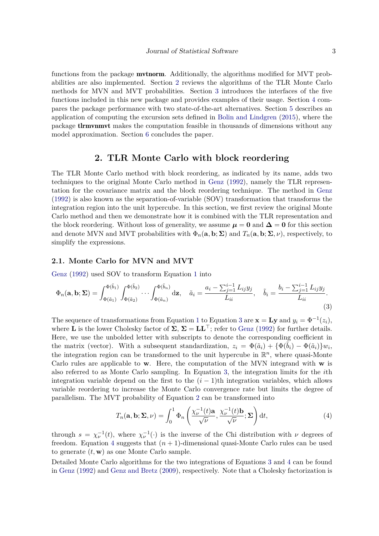functions from the package **mythorm**. Additionally, the algorithms modified for MVT probabilities are also implemented. Section [2](#page-2-0) reviews the algorithms of the TLR Monte Carlo methods for MVN and MVT probabilities. Section [3](#page-5-0) introduces the interfaces of the five functions included in this new package and provides examples of their usage. Section [4](#page-12-0) compares the package performance with two state-of-the-art alternatives. Section [5](#page-17-0) describes an application of computing the excursion sets defined in [Bolin and Lindgren](#page-22-1) [\(2015\)](#page-22-1), where the package tlrmvnmvt makes the computation feasible in thousands of dimensions without any model approximation. Section [6](#page-21-1) concludes the paper.

#### **2. TLR Monte Carlo with block reordering**

<span id="page-2-0"></span>The TLR Monte Carlo method with block reordering, as indicated by its name, adds two techniques to the original Monte Carlo method in [Genz](#page-23-4) [\(1992\)](#page-23-4), namely the TLR representation for the covariance matrix and the block reordering technique. The method in [Genz](#page-23-4) [\(1992\)](#page-23-4) is also known as the separation-of-variable (SOV) transformation that transforms the integration region into the unit hypercube. In this section, we first review the original Monte Carlo method and then we demonstrate how it is combined with the TLR representation and the block reordering. Without loss of generality, we assume  $\mu = 0$  and  $\Delta = 0$  for this section and denote MVN and MVT probabilities with  $\Phi_n(\mathbf{a}, \mathbf{b}; \Sigma)$  and  $T_n(\mathbf{a}, \mathbf{b}; \Sigma, \nu)$ , respectively, to simplify the expressions.

#### **2.1. Monte Carlo for MVN and MVT**

[Genz](#page-23-4) [\(1992\)](#page-23-4) used SOV to transform Equation [1](#page-1-1) into

$$
\Phi_n(\mathbf{a}, \mathbf{b}; \Sigma) = \int_{\Phi(\tilde{a}_1)}^{\Phi(\tilde{b}_1)} \int_{\Phi(\tilde{a}_2)}^{\Phi(\tilde{b}_2)} \cdots \int_{\Phi(\tilde{a}_n)}^{\Phi(\tilde{b}_n)} d\mathbf{z}, \quad \tilde{a}_i = \frac{a_i - \sum_{j=1}^{i-1} L_{ij} y_j}{L_{ii}}, \quad \tilde{b}_i = \frac{b_i - \sum_{j=1}^{i-1} L_{ij} y_j}{L_{ii}}.
$$
\n(3)

The sequence of transformations from Equation [1](#page-1-1) to Equation [3](#page-2-1) are  $\mathbf{x} = \mathbf{Ly}$  and  $y_i = \Phi^{-1}(z_i)$ , where **L** is the lower Cholesky factor of  $\Sigma$ ,  $\Sigma = LL^{\top}$ ; refer to [Genz](#page-23-4) [\(1992\)](#page-23-4) for further details. Here, we use the unbolded letter with subscripts to denote the corresponding coefficient in the matrix (vector). With a subsequent standardization,  $z_i = \Phi(\tilde{a}_i) + {\Phi(\tilde{b}_i) - \Phi(\tilde{a}_i)}w_i$ the integration region can be transformed to the unit hypercube in  $\mathbb{R}^n$ , where quasi-Monte Carlo rules are applicable to **w**. Here, the computation of the MVN integrand with **w** is also referred to as Monte Carlo sampling. In Equation [3,](#page-2-1) the integration limits for the *i*th integration variable depend on the first to the  $(i - 1)$ th integration variables, which allows variable reordering to increase the Monte Carlo convergence rate but limits the degree of parallelism. The MVT probability of Equation [2](#page-1-0) can be transformed into

<span id="page-2-2"></span><span id="page-2-1"></span>
$$
T_n(\mathbf{a}, \mathbf{b}; \Sigma, \nu) = \int_0^1 \Phi_n\left(\frac{\chi_{\nu}^{-1}(t)\mathbf{a}}{\sqrt{\nu}}, \frac{\chi_{\nu}^{-1}(t)\mathbf{b}}{\sqrt{\nu}}; \Sigma\right) dt,
$$
(4)

through  $s = \chi_{\nu}^{-1}(t)$ , where  $\chi_{\nu}^{-1}(\cdot)$  is the inverse of the Chi distribution with  $\nu$  degrees of freedom. Equation [4](#page-2-2) suggests that  $(n + 1)$ -dimensional quasi-Monte Carlo rules can be used to generate (*t,* **w**) as one Monte Carlo sample.

Detailed Monte Carlo algorithms for the two integrations of Equations [3](#page-2-1) and [4](#page-2-2) can be found in [Genz](#page-23-4) [\(1992\)](#page-23-4) and [Genz and Bretz](#page-23-3) [\(2009\)](#page-23-3), respectively. Note that a Cholesky factorization is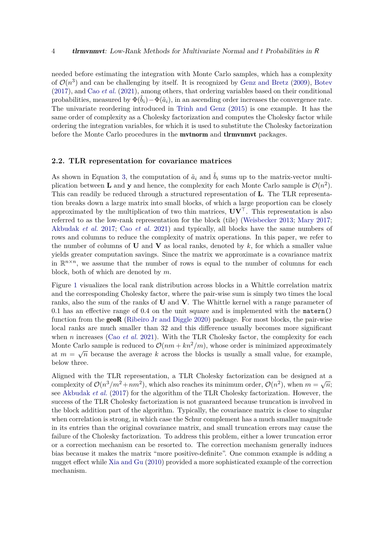needed before estimating the integration with Monte Carlo samples, which has a complexity of  $\mathcal{O}(n^3)$  and can be challenging by itself. It is recognized by [Genz and Bretz](#page-23-3) [\(2009\)](#page-23-3), [Botev](#page-22-5) [\(2017\)](#page-22-5), and Cao *[et al.](#page-22-2)* [\(2021\)](#page-22-2), among others, that ordering variables based on their conditional probabilities, measured by  $\Phi(b_i) - \Phi(\tilde{a}_i)$ , in an ascending order increases the convergence rate. The univariate reordering introduced in [Trinh and Genz](#page-24-0) [\(2015\)](#page-24-0) is one example. It has the same order of complexity as a Cholesky factorization and computes the Cholesky factor while ordering the integration variables, for which it is used to substitute the Cholesky factorization before the Monte Carlo procedures in the **mvtnorm** and **tlrmvnmvt** packages.

#### <span id="page-3-0"></span>**2.2. TLR representation for covariance matrices**

As shown in Equation [3,](#page-2-1) the computation of  $\tilde{a}_i$  and  $\tilde{b}_i$  sums up to the matrix-vector multiplication between **L** and **y** and hence, the complexity for each Monte Carlo sample is  $\mathcal{O}(n^2)$ . This can readily be reduced through a structured representation of **L**. The TLR representation breaks down a large matrix into small blocks, of which a large proportion can be closely approximated by the multiplication of two thin matrices, **UV**⊤. This representation is also referred to as the low-rank representation for the block (tile) [\(Weisbecker](#page-24-1) [2013;](#page-24-1) [Mary](#page-23-8) [2017;](#page-23-8) [Akbudak](#page-21-0) *et al.* [2017;](#page-21-0) Cao *[et al.](#page-22-2)* [2021\)](#page-22-2) and typically, all blocks have the same numbers of rows and columns to reduce the complexity of matrix operations. In this paper, we refer to the number of columns of **U** and **V** as local ranks, denoted by  $k$ , for which a smaller value yields greater computation savings. Since the matrix we approximate is a covariance matrix in  $\mathbb{R}^{n \times n}$ , we assume that the number of rows is equal to the number of columns for each block, both of which are denoted by *m*.

Figure [1](#page-4-0) visualizes the local rank distribution across blocks in a Whittle correlation matrix and the corresponding Cholesky factor, where the pair-wise sum is simply two times the local ranks, also the sum of the ranks of **U** and **V**. The Whittle kernel with a range parameter of 0*.*1 has an effective range of 0*.*4 on the unit square and is implemented with the matern() function from the **geoR** [\(Ribeiro Jr and Diggle](#page-23-9) [2020\)](#page-23-9) package. For most blocks, the pair-wise local ranks are much smaller than 32 and this difference usually becomes more significant when *n* increases (Cao *[et al.](#page-22-2)* [2021\)](#page-22-2). With the TLR Cholesky factor, the complexity for each Monte Carlo sample is reduced to  $\mathcal{O}(nm + kn^2/m)$ , whose order is minimized approximately at  $m = \sqrt{n}$  because the average k across the blocks is usually a small value, for example, below three.

Aligned with the TLR representation, a TLR Cholesky factorization can be designed at a complexity of  $\mathcal{O}(n^3/m^2 + nm^2)$ , which also reaches its minimum order,  $\mathcal{O}(n^2)$ , when  $m = \sqrt{n}$ ; see [Akbudak](#page-21-0) *et al.* [\(2017\)](#page-21-0) for the algorithm of the TLR Cholesky factorization. However, the success of the TLR Cholesky factorization is not guaranteed because truncation is involved in the block addition part of the algorithm. Typically, the covariance matrix is close to singular when correlation is strong, in which case the Schur complement has a much smaller magnitude in its entries than the original covariance matrix, and small truncation errors may cause the failure of the Cholesky factorization. To address this problem, either a lower truncation error or a correction mechanism can be resorted to. The correction mechanism generally induces bias because it makes the matrix "more positive-definite". One common example is adding a nugget effect while [Xia and Gu](#page-24-2) [\(2010\)](#page-24-2) provided a more sophisticated example of the correction mechanism.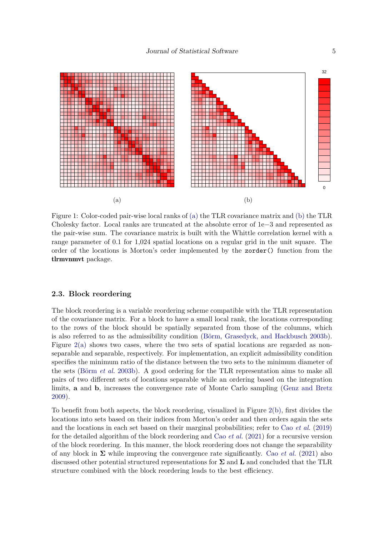<span id="page-4-0"></span>

Figure 1: Color-coded pair-wise local ranks of [\(a\)](#page-4-0) the TLR covariance matrix and [\(b\)](#page-4-0) the TLR Cholesky factor. Local ranks are truncated at the absolute error of 1e−3 and represented as the pair-wise sum. The covariance matrix is built with the Whittle correlation kernel with a range parameter of 0*.*1 for 1*,*024 spatial locations on a regular grid in the unit square. The order of the locations is Morton's order implemented by the zorder() function from the tlrmvnmvt package.

#### **2.3. Block reordering**

The block reordering is a variable reordering scheme compatible with the TLR representation of the covariance matrix. For a block to have a small local rank, the locations corresponding to the rows of the block should be spatially separated from those of the columns, which is also referred to as the admissibility condition [\(Börm, Grasedyck, and Hackbusch](#page-22-9) [2003b\)](#page-22-9). Figure  $2(a)$  shows two cases, where the two sets of spatial locations are regarded as nonseparable and separable, respectively. For implementation, an explicit admissibility condition specifies the minimum ratio of the distance between the two sets to the minimum diameter of the sets [\(Börm](#page-22-9) *et al.* [2003b\)](#page-22-9). A good ordering for the TLR representation aims to make all pairs of two different sets of locations separable while an ordering based on the integration limits, **a** and **b**, increases the convergence rate of Monte Carlo sampling [\(Genz and Bretz](#page-23-3) [2009\)](#page-23-3).

To benefit from both aspects, the block reordering, visualized in Figure [2\(b\),](#page-5-1) first divides the locations into sets based on their indices from Morton's order and then orders again the sets and the locations in each set based on their marginal probabilities; refer to Cao *[et al.](#page-22-6)* [\(2019\)](#page-22-6) for the detailed algorithm of the block reordering and Cao *[et al.](#page-22-2)* [\(2021\)](#page-22-2) for a recursive version of the block reordering. In this manner, the block reordering does not change the separability of any block in  $\Sigma$  while improving the convergence rate significantly. Cao *[et al.](#page-22-2)* [\(2021\)](#page-22-2) also discussed other potential structured representations for **Σ** and **L** and concluded that the TLR structure combined with the block reordering leads to the best efficiency.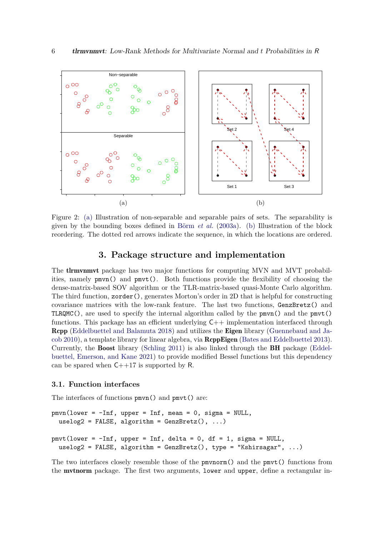<span id="page-5-1"></span>

Figure 2: [\(a\)](#page-5-1) Illustration of non-separable and separable pairs of sets. The separability is given by the bounding boxes defined in [Börm](#page-22-10) *et al.* [\(2003a\)](#page-22-10). [\(b\)](#page-5-1) Illustration of the block reordering. The dotted red arrows indicate the sequence, in which the locations are ordered.

#### **3. Package structure and implementation**

<span id="page-5-0"></span>The **tlrmvnmvt** package has two major functions for computing MVN and MVT probabilities, namely pmvn() and pmvt(). Both functions provide the flexibility of choosing the dense-matrix-based SOV algorithm or the TLR-matrix-based quasi-Monte Carlo algorithm. The third function,  $z$  order(), generates Morton's order in 2D that is helpful for constructing covariance matrices with the low-rank feature. The last two functions, GenzBretz() and TLRQMC(), are used to specify the internal algorithm called by the  $p m v n$ () and the  $p m v t$ () functions. This package has an efficient underlying  $C++$  implementation interfaced through Rcpp [\(Eddelbuettel and Balamuta](#page-22-11) [2018\)](#page-22-11) and utilizes the Eigen library [\(Guennebaud and Ja](#page-23-10)[cob](#page-23-10) [2010\)](#page-23-10), a template library for linear algebra, via RcppEigen [\(Bates and Eddelbuettel](#page-21-2) [2013\)](#page-21-2). Currently, the Boost library [\(Schling](#page-24-3) [2011\)](#page-24-3) is also linked through the BH package [\(Eddel](#page-23-11)[buettel, Emerson, and Kane](#page-23-11) [2021\)](#page-23-11) to provide modified Bessel functions but this dependency can be spared when  $C++17$  is supported by R.

#### **3.1. Function interfaces**

The interfaces of functions pmvn() and pmvt() are:

```
pmvn(lower = -Inf, upper = Inf, mean = 0, sigma = NULL,
  uselog2 = FALSE, algorithm = GenzBretz(), ...)
pmvt(lower = -Inf, upper = Inf, delta = 0, df = 1, sigma = NULL,
  uselog2 = FALSE, algorithm = GenzBretz(), type = "Kshirsagar", ...)
```
The two interfaces closely resemble those of the pmvnorm() and the pmvt() functions from the mvtnorm package. The first two arguments, lower and upper, define a rectangular in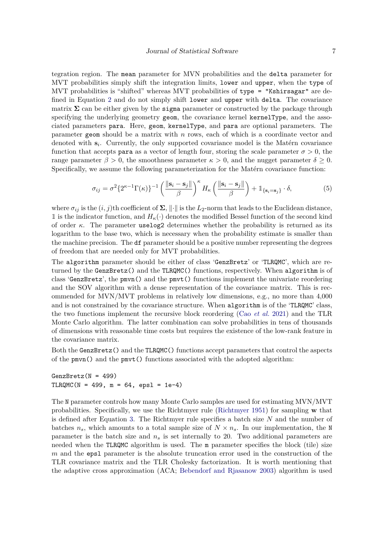tegration region. The mean parameter for MVN probabilities and the delta parameter for MVT probabilities simply shift the integration limits, lower and upper, when the type of MVT probabilities is "shifted" whereas MVT probabilities of type = "Kshirsagar" are defined in Equation [2](#page-1-0) and do not simply shift lower and upper with delta. The covariance matrix  $\Sigma$  can be either given by the sigma parameter or constructed by the package through specifying the underlying geometry geom, the covariance kernel kernelType, and the associated parameters para. Here, geom, kernelType, and para are optional parameters. The parameter geom should be a matrix with *n* rows, each of which is a coordinate vector and denoted with  $s_i$ . Currently, the only supported covariance model is the Matérn covariance function that accepts para as a vector of length four, storing the scale parameter  $\sigma > 0$ , the range parameter  $\beta > 0$ , the smoothness parameter  $\kappa > 0$ , and the nugget parameter  $\delta \geq 0$ . Specifically, we assume the following parameterization for the Matérn covariance function:

<span id="page-6-0"></span>
$$
\sigma_{ij} = \sigma^2 \{ 2^{\kappa - 1} \Gamma(\kappa) \}^{-1} \left( \frac{\|\mathbf{s}_i - \mathbf{s}_j\|}{\beta} \right)^{\kappa} H_{\kappa} \left( \frac{\|\mathbf{s}_i - \mathbf{s}_j\|}{\beta} \right) + \mathbb{1}_{\{\mathbf{s}_i = \mathbf{s}_j\}} \cdot \delta,
$$
(5)

where  $\sigma_{ij}$  is the  $(i, j)$ th coefficient of  $\Sigma$ ,  $\|\cdot\|$  is the  $L_2$ -norm that leads to the Euclidean distance, 1 is the indicator function, and  $H_k(\cdot)$  denotes the modified Bessel function of the second kind of order *κ*. The parameter uselog2 determines whether the probability is returned as its logarithm to the base two, which is necessary when the probability estimate is smaller than the machine precision. The df parameter should be a positive number representing the degrees of freedom that are needed only for MVT probabilities.

The algorithm parameter should be either of class 'GenzBretz' or 'TLRQMC', which are returned by the GenzBretz() and the TLRQMC() functions, respectively. When algorithm is of class 'GenzBretz', the pmvn() and the pmvt() functions implement the univariate reordering and the SOV algorithm with a dense representation of the covariance matrix. This is recommended for MVN/MVT problems in relatively low dimensions, e.g., no more than 4*,*000 and is not constrained by the covariance structure. When algorithm is of the 'TLRQMC' class, the two functions implement the recursive block reordering (Cao *[et al.](#page-22-2)* [2021\)](#page-22-2) and the TLR Monte Carlo algorithm. The latter combination can solve probabilities in tens of thousands of dimensions with reasonable time costs but requires the existence of the low-rank feature in the covariance matrix.

Both the GenzBretz() and the TLRQMC() functions accept parameters that control the aspects of the pmvn() and the pmvt() functions associated with the adopted algorithm:

#### $GenzBretz(N = 499)$  $TLRQMC(N = 499, m = 64, eps1 = 1e-4)$

The N parameter controls how many Monte Carlo samples are used for estimating MVN/MVT probabilities. Specifically, we use the Richtmyer rule [\(Richtmyer](#page-24-4) [1951\)](#page-24-4) for sampling **w** that is defined after Equation [3.](#page-2-1) The Richtmyer rule specifies a batch size *N* and the number of batches  $n_s$ , which amounts to a total sample size of  $N \times n_s$ . In our implementation, the N parameter is the batch size and *n<sup>s</sup>* is set internally to 20. Two additional parameters are needed when the TLRQMC algorithm is used. The m parameter specifies the block (tile) size *m* and the epsl parameter is the absolute truncation error used in the construction of the TLR covariance matrix and the TLR Cholesky factorization. It is worth mentioning that the adaptive cross approximation (ACA; [Bebendorf and Rjasanow](#page-22-12) [2003\)](#page-22-12) algorithm is used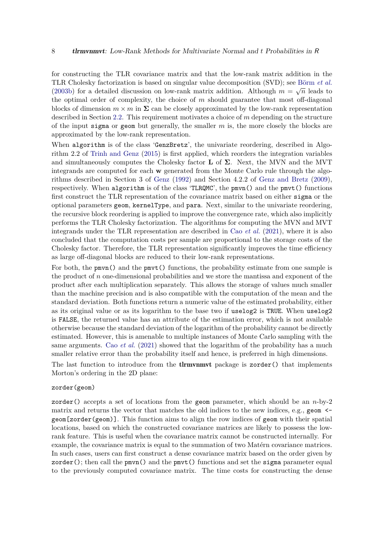for constructing the TLR covariance matrix and that the low-rank matrix addition in the TLR Cholesky factorization is based on singular value decomposition (SVD); see [Börm](#page-22-9) *et al.* √ [\(2003b\)](#page-22-9) for a detailed discussion on low-rank matrix addition. Although  $m = \sqrt{n}$  leads to the optimal order of complexity, the choice of *m* should guarantee that most off-diagonal blocks of dimension  $m \times m$  in  $\Sigma$  can be closely approximated by the low-rank representation described in Section [2.2.](#page-3-0) This requirement motivates a choice of *m* depending on the structure of the input sigma or geom but generally, the smaller *m* is, the more closely the blocks are approximated by the low-rank representation.

When algorithm is of the class 'GenzBretz', the univariate reordering, described in Algorithm 2.2 of [Trinh and Genz](#page-24-0) [\(2015\)](#page-24-0) is first applied, which reorders the integration variables and simultaneously computes the Cholesky factor **L** of **Σ**. Next, the MVN and the MVT integrands are computed for each **w** generated from the Monte Carlo rule through the algorithms described in Section 3 of [Genz](#page-23-4) [\(1992\)](#page-23-4) and Section 4.2.2 of [Genz and Bretz](#page-23-3) [\(2009\)](#page-23-3), respectively. When algorithm is of the class 'TLRQMC', the pmvn() and the pmvt() functions first construct the TLR representation of the covariance matrix based on either sigma or the optional parameters geom, kernelType, and para. Next, similar to the univariate reordering, the recursive block reordering is applied to improve the convergence rate, which also implicitly performs the TLR Cholesky factorization. The algorithms for computing the MVN and MVT integrands under the TLR representation are described in Cao *[et al.](#page-22-2)* [\(2021\)](#page-22-2), where it is also concluded that the computation costs per sample are proportional to the storage costs of the Cholesky factor. Therefore, the TLR representation significantly improves the time efficiency as large off-diagonal blocks are reduced to their low-rank representations.

For both, the pmvn() and the pmvt() functions, the probability estimate from one sample is the product of *n* one-dimensional probabilities and we store the mantissa and exponent of the product after each multiplication separately. This allows the storage of values much smaller than the machine precision and is also compatible with the computation of the mean and the standard deviation. Both functions return a numeric value of the estimated probability, either as its original value or as its logarithm to the base two if uselog2 is TRUE. When uselog2 is FALSE, the returned value has an attribute of the estimation error, which is not available otherwise because the standard deviation of the logarithm of the probability cannot be directly estimated. However, this is amenable to multiple instances of Monte Carlo sampling with the same arguments. Cao *[et al.](#page-22-2)* [\(2021\)](#page-22-2) showed that the logarithm of the probability has a much smaller relative error than the probability itself and hence, is preferred in high dimensions.

The last function to introduce from the **theorightary** package is zorder() that implements Morton's ordering in the 2D plane:

#### zorder(geom)

zorder() accepts a set of locations from the geom parameter, which should be an *n*-by-2 matrix and returns the vector that matches the old indices to the new indices, e.g., geom  $\leq$ geom[zorder(geom)]. This function aims to align the row indices of geom with their spatial locations, based on which the constructed covariance matrices are likely to possess the lowrank feature. This is useful when the covariance matrix cannot be constructed internally. For example, the covariance matrix is equal to the summation of two Matérn covariance matrices. In such cases, users can first construct a dense covariance matrix based on the order given by  $zorder()$ ; then call the pmvn() and the pmvt() functions and set the sigma parameter equal to the previously computed covariance matrix. The time costs for constructing the dense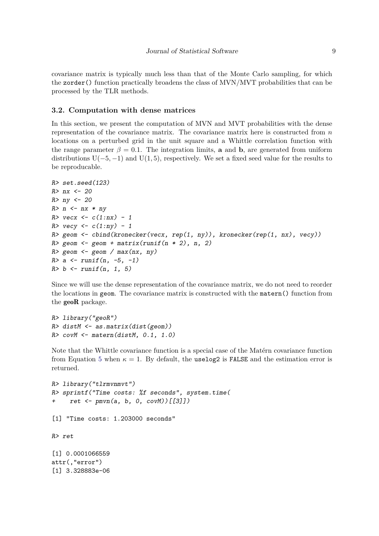covariance matrix is typically much less than that of the Monte Carlo sampling, for which the zorder() function practically broadens the class of MVN/MVT probabilities that can be processed by the TLR methods.

#### <span id="page-8-0"></span>**3.2. Computation with dense matrices**

In this section, we present the computation of MVN and MVT probabilities with the dense representation of the covariance matrix. The covariance matrix here is constructed from *n* locations on a perturbed grid in the unit square and a Whittle correlation function with the range parameter  $\beta = 0.1$ . The integration limits, **a** and **b**, are generated from uniform distributions U(−5*,* −1) and U(1*,* 5), respectively. We set a fixed seed value for the results to be reproducable.

```
R> set.seed(123)
R > nx < -20R> ny <- 20
R> n \le -nx * nyR> vecx <- c(1:nx) - 1
R> vecy <- c(1:ny) - 1
R> geom \le cbind(kronecker(vecx, rep(1, ny)), kronecker(rep(1, nx), vecy))
R> geom <- geom + matrix(runif(n * 2), n, 2)
R> geom \leq geom / max(nx, ny)
R > a \leq runif(n, -5, -1)R> b <- runif(n, 1, 5)
```
Since we will use the dense representation of the covariance matrix, we do not need to reorder the locations in geom. The covariance matrix is constructed with the matern() function from the geoR package.

```
R> library("geoR")
R> distM <- as.matrix(dist(geom))
R> covM <- matern(distM, 0.1, 1.0)
```
Note that the Whittle covariance function is a special case of the Matérn covariance function from Equation [5](#page-6-0) when  $\kappa = 1$ . By default, the uselog2 is FALSE and the estimation error is returned.

```
R> library("tlrmvnmvt")
R> sprintf("Time costs: %f seconds", system.time(
+ ret <- pmvn(a, b, 0, covM))[[3]])
[1] "Time costs: 1.203000 seconds"
R> ret
[1] 0.0001066559
attr(,"error")
[1] 3.328883e-06
```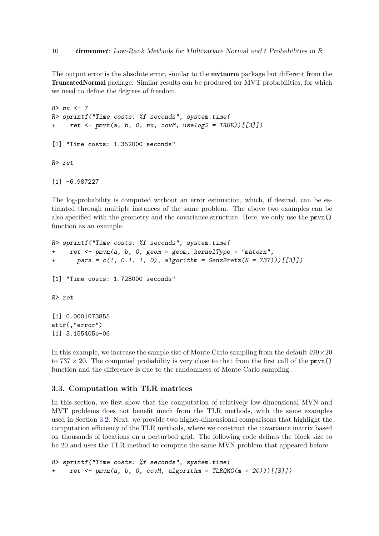The output error is the absolute error, similar to the **mythorm** package but different from the TruncatedNormal package. Similar results can be produced for MVT probabilities, for which we need to define the degrees of freedom.

```
R>nu < -7R> sprintf("Time costs: %f seconds", system.time(
+ ret \leftarrow pmvt(a, b, 0, nu, covM, uselog2 = TRUE))[[3]])
[1] "Time costs: 1.352000 seconds"
R> ret
[1] -6.987227
```
The log-probability is computed without an error estimation, which, if desired, can be estimated through multiple instances of the same problem. The above two examples can be also specified with the geometry and the covariance structure. Here, we only use the pmvn() function as an example.

```
R> sprintf("Time costs: %f seconds", system.time(
     ret \leq pmvn(a, b, 0, geom = geom, kernelType = "matern",
+ para = c(1, 0.1, 1, 0), algorithm = GenzBretz(N = 737)))[[3]])
[1] "Time costs: 1.723000 seconds"
R> ret
[1] 0.0001073855
attr(,"error")
[1] 3.155405e-06
```
In this example, we increase the sample size of Monte Carlo sampling from the default  $499 \times 20$ to  $737 \times 20$ . The computed probability is very close to that from the first call of the pmvn() function and the difference is due to the randomness of Monte Carlo sampling.

#### **3.3. Computation with TLR matrices**

In this section, we first show that the computation of relatively low-dimensional MVN and MVT problems does not benefit much from the TLR methods, with the same examples used in Section [3.2.](#page-8-0) Next, we provide two higher-dimensional comparisons that highlight the computation efficiency of the TLR methods, where we construct the covariance matrix based on thousands of locations on a perturbed grid. The following code defines the block size to be 20 and uses the TLR method to compute the same MVN problem that appeared before.

```
R> sprintf("Time costs: %f seconds", system.time(
     ret \leftarrow pmvn(a, b, 0, covM, algorithm = TLRQMC(m = 20)))[[3]]
```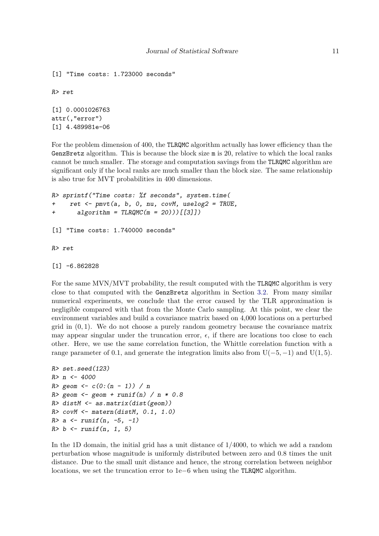```
[1] "Time costs: 1.723000 seconds"
R> ret
[1] 0.0001026763
attr(,"error")
[1] 4.489981e-06
```
For the problem dimension of 400, the TLRQMC algorithm actually has lower efficiency than the GenzBretz algorithm. This is because the block size m is 20, relative to which the local ranks cannot be much smaller. The storage and computation savings from the TLRQMC algorithm are significant only if the local ranks are much smaller than the block size. The same relationship is also true for MVT probabilities in 400 dimensions.

```
R> sprintf("Time costs: %f seconds", system.time(
+ ret <- pmvt(a, b, 0, nu, covM, uselog2 = TRUE,
      algorithms = TLRQMC(m = 20)))[[3]][1] "Time costs: 1.740000 seconds"
R> ret
[1] -6.862828
```
For the same MVN/MVT probability, the result computed with the TLRQMC algorithm is very close to that computed with the GenzBretz algorithm in Section [3.2.](#page-8-0) From many similar numerical experiments, we conclude that the error caused by the TLR approximation is negligible compared with that from the Monte Carlo sampling. At this point, we clear the environment variables and build a covariance matrix based on 4*,*000 locations on a perturbed grid in (0*,* 1). We do not choose a purely random geometry because the covariance matrix may appear singular under the truncation error,  $\epsilon$ , if there are locations too close to each other. Here, we use the same correlation function, the Whittle correlation function with a range parameter of 0.1, and generate the integration limits also from  $U(-5, -1)$  and  $U(1, 5)$ .

```
R> set.seed(123)
R > n < -4000R > geom \leftarrow c(0:(n-1)) / nR> geom \leq geom + runif(n) / n * 0.8
R> distM <- as.matrix(dist(geom))
R> covM <- matern(distM, 0.1, 1.0)
R > a \leq runif(n, -5, -1)R> b <- runif(n, 1, 5)
```
In the 1D domain, the initial grid has a unit distance of 1*/*4000, to which we add a random perturbation whose magnitude is uniformly distributed between zero and 0*.*8 times the unit distance. Due to the small unit distance and hence, the strong correlation between neighbor locations, we set the truncation error to 1e−6 when using the TLRQMC algorithm.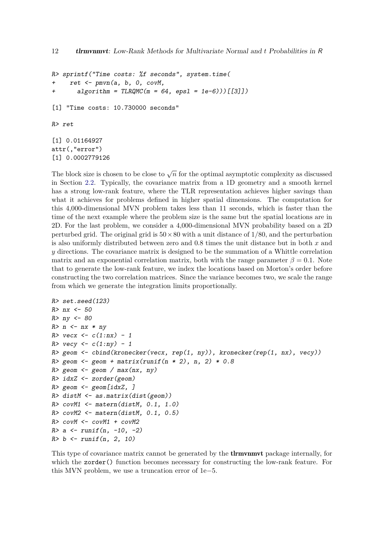```
R> sprintf("Time costs: %f seconds", system.time(
+ ret \leq pmvn(a, b, 0, \text{covM},+ algorithm = TLRQMC(m = 64, eps1 = 1e-6)) [[3]])
[1] "Time costs: 10.730000 seconds"
R> ret
[1] 0.01164927
attr(,"error")
[1] 0.0002779126
```
The block size is chosen to be close to  $\sqrt{n}$  for the optimal asymptotic complexity as discussed in Section [2.2.](#page-3-0) Typically, the covariance matrix from a 1D geometry and a smooth kernel has a strong low-rank feature, where the TLR representation achieves higher savings than what it achieves for problems defined in higher spatial dimensions. The computation for this 4*,*000-dimensional MVN problem takes less than 11 seconds, which is faster than the time of the next example where the problem size is the same but the spatial locations are in 2D. For the last problem, we consider a 4*,*000-dimensional MVN probability based on a 2D perturbed grid. The original grid is 50×80 with a unit distance of 1*/*80, and the perturbation is also uniformly distributed between zero and 0*.*8 times the unit distance but in both *x* and *y* directions. The covariance matrix is designed to be the summation of a Whittle correlation matrix and an exponential correlation matrix, both with the range parameter  $\beta = 0.1$ . Note that to generate the low-rank feature, we index the locations based on Morton's order before constructing the two correlation matrices. Since the variance becomes two, we scale the range from which we generate the integration limits proportionally.

```
R> set.seed(123)
R> nx <- 50
R> ny <- 80
R> n \le -nx * nyR> vecx \leq c(1:nx) - 1
R> vecy \leftarrow c(1:ny) - 1
R geom \le cbind(kronecker(vecx, rep(1, ny)), kronecker(rep(1, nx), vecy))
R> geom \leq geom + matrix(runif(n * 2), n, 2) * 0.8
R> geom \leq geom / max(nx, ny)
R> idxZ <- zorder(geom)
R> geom \leq geom[idxZ, ]
R> distM <- as.matrix(dist(geom))
R> covM1 <- matern(distM, 0.1, 1.0)
R> covM2 <- matern(distM, 0.1, 0.5)
R> covM <- covM1 + covM2
R > a \le -runif(n, -10, -2)
R> b <- runif(n, 2, 10)
```
This type of covariance matrix cannot be generated by the **theorem internally** for which the zorder() function becomes necessary for constructing the low-rank feature. For this MVN problem, we use a truncation error of 1e−5.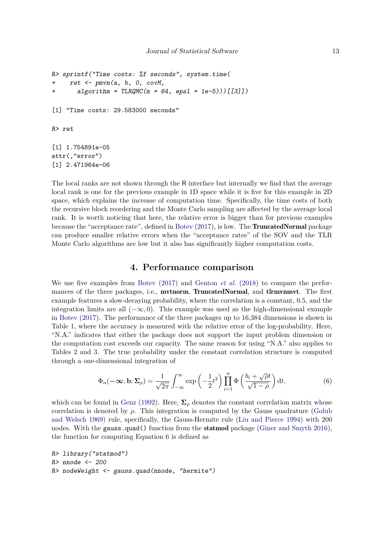```
R> sprintf("Time costs: %f seconds", system.time(
+ ret \leq pmvn(a, b, 0, \text{covM},+ algorithm = TLRQMC(m = 64, eps1 = 1e-5)) [[3]])
[1] "Time costs: 29.583000 seconds"
R> ret
[1] 1.754891e-05
attr(,"error")
[1] 2.471964e-06
```
The local ranks are not shown through the R interface but internally we find that the average local rank is one for the previous example in 1D space while it is five for this example in 2D space, which explains the increase of computation time. Specifically, the time costs of both the recursive block reordering and the Monte Carlo sampling are affected by the average local rank. It is worth noticing that here, the relative error is bigger than for previous examples because the "acceptance rate", defined in [Botev](#page-22-5) [\(2017\)](#page-22-5), is low. The TruncatedNormal package can produce smaller relative errors when the "acceptance rates" of the SOV and the TLR Monte Carlo algorithms are low but it also has significantly higher computation costs.

#### **4. Performance comparison**

<span id="page-12-0"></span>We use five examples from [Botev](#page-22-5) [\(2017\)](#page-22-5) and [Genton](#page-23-7) *et al.* [\(2018\)](#page-23-7) to compare the performances of the three packages, i.e., mvtnorm, TruncatedNormal, and tlrmvnmvt. The first example features a slow-decaying probability, where the correlation is a constant, 0*.*5, and the integration limits are all (−∞*,* 0). This example was used as the high-dimensional example in [Botev](#page-22-5) [\(2017\)](#page-22-5). The performance of the three packages up to 16*,*384 dimensions is shown in Table [1,](#page-13-0) where the accuracy is measured with the relative error of the log-probability. Here, "N.A." indicates that either the package does not support the input problem dimension or the computation cost exceeds our capacity. The same reason for using "N.A." also applies to Tables [2](#page-14-0) and [3.](#page-15-0) The true probability under the constant correlation structure is computed through a one-dimensional integration of

<span id="page-12-1"></span>
$$
\Phi_n(-\infty, \mathbf{b}; \Sigma_\rho) = \frac{1}{\sqrt{2\pi}} \int_{-\infty}^\infty \exp\left(-\frac{1}{2}t^2\right) \prod_{i=1}^n \Phi\left(\frac{b_i + \sqrt{\rho}t}{\sqrt{1-\rho}}\right) dt,\tag{6}
$$

which can be found in [Genz](#page-23-4) [\(1992\)](#page-23-4). Here,  $\Sigma_{\rho}$  denotes the constant correlation matrix whose correlation is denoted by  $\rho$ . This integration is computed by the Gauss quadrature [\(Golub](#page-23-12) [and Welsch](#page-23-12) [1969\)](#page-23-12) rule, specifically, the Gauss-Hermite rule [\(Liu and Pierce](#page-23-13) [1994\)](#page-23-13) with 200 nodes. With the gauss quad() function from the **statmod** package [\(Giner and Smyth](#page-23-14) [2016\)](#page-23-14), the function for computing Equation [6](#page-12-1) is defined as

```
R> library("statmod")
R> nnode <- 200
R> nodeWeight <- gauss.quad(nnode, "hermite")
```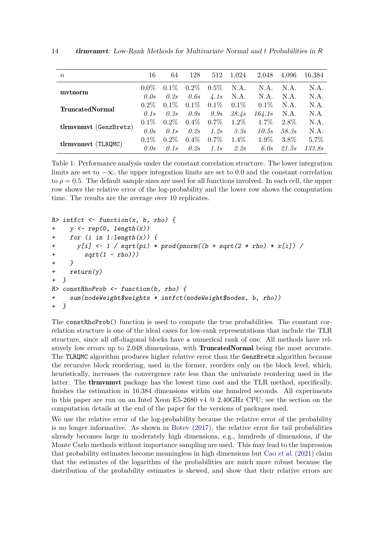<span id="page-13-0"></span>

| $\, n$                 | 16      | 64      | 128     | 512           | 1,024   | 2,048   | 4,096   | 16,384 |
|------------------------|---------|---------|---------|---------------|---------|---------|---------|--------|
|                        | $0.0\%$ | $0.1\%$ | $0.2\%$ | $0.5\%$       | N.A.    | N.A.    | N.A.    | N.A.   |
| mytnorm                | 0.0s    | 0.2s    | 0.6s    | $\sqrt{4.1s}$ | N.A.    | N.A.    | N.A.    | N.A.   |
| <b>TruncatedNormal</b> | $0.2\%$ | $0.1\%$ | $0.1\%$ | $0.1\%$       | $0.1\%$ | $0.1\%$ | N.A.    | N.A.   |
|                        | 0.1s    | 0.3s    | 0.9s    | 9.9s          | 38.4s   | 164.1s  | N.A.    | N.A.   |
| tlrmvnmvt (GenzBretz)  | $0.1\%$ | $0.2\%$ | $0.4\%$ | $0.7\%$       | $1.2\%$ | $1.7\%$ | $2.8\%$ | N.A.   |
|                        | 0.0s    | 0.1s    | 0.2s    | 1.2s          | 3.3s    | 10.5s   | 58.38   | N.A.   |
| tlrmvnmvt (TLRQMC)     | $0.1\%$ | $0.2\%$ | $0.4\%$ | $0.7\%$       | $1.4\%$ | $1.9\%$ | $3.8\%$ | 5.7%   |
|                        | 0.0s    | 0.1s    | 0.2s    | 1.1s          | 2.2s    | 6.0s    | 21.5s   | 133.8s |

Table 1: Performance analysis under the constant correlation structure. The lower integration limits are set to −∞, the upper integration limits are set to 0*.*0 and the constant correlation to  $\rho = 0.5$ . The default sample sizes are used for all functions involved. In each cell, the upper row shows the relative error of the log-probability and the lower row shows the computation time. The results are the average over 10 replicates.

```
R> intfct <- function(x, b, rho) {
+ y \leftarrow rep(0, length(x))+ for (i in 1:length(x)) {
      y[i] \leftarrow 1 / sqrt(pi) * prod(pnorm((b + sqrt(2 * rho) * x[i]) /+ sqrt(1 - rho)))+ }
+ return(y)
+ }
R> constRhoProb <- function(b, rho) {
+ sum(nodeWeight$weights * intfct(nodeWeight$nodes, b, rho))
+ }
```
The constRhoProb() function is used to compute the true probabilities. The constant correlation structure is one of the ideal cases for low-rank representations that include the TLR structure, since all off-diagonal blocks have a numerical rank of one. All methods have relatively low errors up to 2*,*048 dimensions, with TruncatedNormal being the most accurate. The TLRQMC algorithm produces higher relative error than the GenzBretz algorithm because the recursive block reordering, used in the former, reorders only on the block level, which, heuristically, increases the convergence rate less than the univariate reordering used in the latter. The tlrmvnmvt package has the lowest time cost and the TLR method, specifically, finishes the estimation in 16*,*384 dimensions within one hundred seconds. All experiments in this paper are run on an Intel Xeon E5-2680 v4 @ 2.40GHz CPU; see the section on the computation details at the end of the paper for the versions of packages used.

We use the relative error of the log-probability because the relative error of the probability is no longer informative. As shown in [Botev](#page-22-5) [\(2017\)](#page-22-5), the relative error for tail probabilities already becomes large in moderately high dimensions, e.g., hundreds of dimensions, if the Monte Carlo methods without importance sampling are used. This may lead to the impression that probability estimates become meaningless in high dimensions but Cao *[et al.](#page-22-2)* [\(2021\)](#page-22-2) claim that the estimates of the logarithm of the probabilities are much more robust because the distribution of the probability estimates is skewed, and show that their relative errors are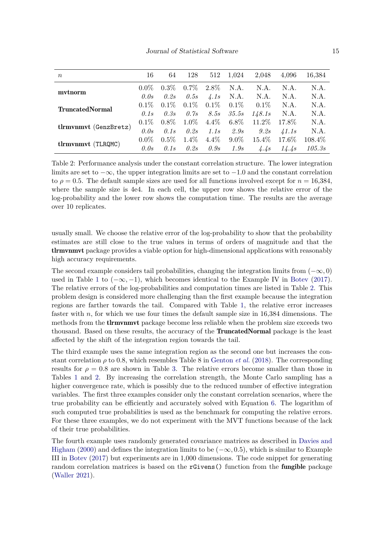<span id="page-14-0"></span>

| $\,n$                  | 16      | 64      | 128     | 512           | 1,024   | 2,048    | 4.096         | 16,384  |
|------------------------|---------|---------|---------|---------------|---------|----------|---------------|---------|
|                        | $0.0\%$ | $0.3\%$ | $0.7\%$ | $2.8\%$       | N.A.    | N.A.     | N.A.          | N.A.    |
| mytnorm                | 0.0s    | 0.2s    | 0.5s    | $\sqrt{4.1s}$ | N.A.    | N.A.     | N.A.          | N.A.    |
| <b>TruncatedNormal</b> | $0.1\%$ | $0.1\%$ | $0.1\%$ | $0.1\%$       | $0.1\%$ | $0.1\%$  | N.A.          | N.A.    |
|                        | 0.1s    | 0.3s    | 0.7s    | <i>8.5s</i>   | 35.5s   | 148.1s   | N.A.          | N.A.    |
| tlrmvnmvt (GenzBretz)  | $0.1\%$ | $0.8\%$ | $1.0\%$ | $4.4\%$       | $6.8\%$ | $11.2\%$ | 17.8%         | N.A.    |
|                        | 0.0s    | 0.1s    | 0.2s    | 1.1s          | 2.9s    | 9.2s     | $\angle 1.1s$ | N.A.    |
| tlrmvnmvt (TLRQMC)     | $0.0\%$ | $0.5\%$ | $1.4\%$ | $4.4\%$       | $9.0\%$ | $15.4\%$ | 17.6\%        | 108.4\% |
|                        | 0.0s    | 0.1s    | 0.2s    | 0.9s          | 1.9s    | 4.4s     | 14.4s         | 105.3s  |

Table 2: Performance analysis under the constant correlation structure. The lower integration limits are set to −∞, the upper integration limits are set to −1*.*0 and the constant correlation to  $\rho = 0.5$ . The default sample sizes are used for all functions involved except for  $n = 16,384$ , where the sample size is 4e4. In each cell, the upper row shows the relative error of the log-probability and the lower row shows the computation time. The results are the average over 10 replicates.

usually small. We choose the relative error of the log-probability to show that the probability estimates are still close to the true values in terms of orders of magnitude and that the tlrmvnmvt package provides a viable option for high-dimensional applications with reasonably high accuracy requirements.

The second example considers tail probabilities, changing the integration limits from (−∞*,* 0) used in Table [1](#page-13-0) to  $(-\infty, -1)$ , which becomes identical to the Example IV in [Botev](#page-22-5) [\(2017\)](#page-22-5). The relative errors of the log-probabilities and computation times are listed in Table [2.](#page-14-0) This problem design is considered more challenging than the first example because the integration regions are farther towards the tail. Compared with Table [1,](#page-13-0) the relative error increases faster with *n*, for which we use four times the default sample size in 16*,*384 dimensions. The methods from the tlrmvnmvt package become less reliable when the problem size exceeds two thousand. Based on these results, the accuracy of the TruncatedNormal package is the least affected by the shift of the integration region towards the tail.

The third example uses the same integration region as the second one but increases the constant correlation *ρ* to 0*.*8, which resembles Table 8 in [Genton](#page-23-7) *et al.* [\(2018\)](#page-23-7). The corresponding results for  $\rho = 0.8$  are shown in Table [3.](#page-15-0) The relative errors become smaller than those in Tables [1](#page-13-0) and [2.](#page-14-0) By increasing the correlation strength, the Monte Carlo sampling has a higher convergence rate, which is possibly due to the reduced number of effective integration variables. The first three examples consider only the constant correlation scenarios, where the true probability can be efficiently and accurately solved with Equation [6.](#page-12-1) The logarithm of such computed true probabilities is used as the benchmark for computing the relative errors. For these three examples, we do not experiment with the MVT functions because of the lack of their true probabilities.

The fourth example uses randomly generated covariance matrices as described in [Davies and](#page-22-13) [Higham](#page-22-13) [\(2000\)](#page-22-13) and defines the integration limits to be (−∞*,* 0*.*5), which is similar to Example III in [Botev](#page-22-5) [\(2017\)](#page-22-5) but experiments are in 1*,*000 dimensions. The code snippet for generating random correlation matrices is based on the **rGivens**() function from the **fungible** package [\(Waller](#page-24-5) [2021\)](#page-24-5).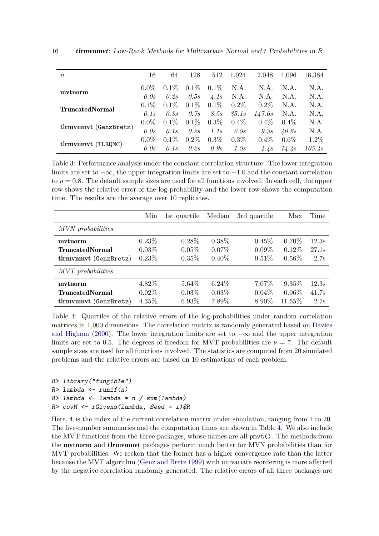<span id="page-15-0"></span>

| $\, n$                 | 16      | 64      | 128     | 512               | 1,024   | 2,048   | 4.096   | 16,384  |
|------------------------|---------|---------|---------|-------------------|---------|---------|---------|---------|
|                        | $0.0\%$ | $0.1\%$ | $0.1\%$ | $0.1\%$           | N.A.    | N.A.    | N.A.    | N.A.    |
| mytnorm                | 0.0s    | 0.2s    | 0.5s    | $\frac{1}{4}$ .1s | N.A.    | N.A.    | N.A.    | N.A.    |
| <b>TruncatedNormal</b> | $0.1\%$ | $0.1\%$ | $0.1\%$ | $0.1\%$           | $0.2\%$ | $0.2\%$ | N.A.    | N.A.    |
|                        | 0.1s    | 0.3s    | 0.7s    | <i>8.5s</i>       | 35.1s   | 147.6s  | N.A.    | N.A.    |
| tlrmvnmvt (GenzBretz)  | $0.0\%$ | $0.1\%$ | $0.1\%$ | $0.3\%$           | $0.4\%$ | $0.4\%$ | $0.4\%$ | N.A.    |
|                        | 0.0s    | 0.1s    | 0.2s    | 1.1s              | 2.9s    | 9.3s    | 40.6s   | N.A.    |
| tlrmvnmvt (TLRQMC)     | $0.0\%$ | $0.1\%$ | $0.2\%$ | $0.3\%$           | $0.3\%$ | $0.4\%$ | $0.6\%$ | $1.2\%$ |
|                        | 0.0s    | 0.1s    | 0.2s    | 0.9s              | 1.9s    | 4.4s    | 14.4s   | 105.4s  |

Table 3: Performance analysis under the constant correlation structure. The lower integration limits are set to −∞, the upper integration limits are set to −1*.*0 and the constant correlation to  $\rho = 0.8$ . The default sample sizes are used for all functions involved. In each cell, the upper row shows the relative error of the log-probability and the lower row shows the computation time. The results are the average over 10 replicates.

<span id="page-15-1"></span>

|                        | Min      | 1st quartile | Median   | 3rd quartile | Max      | Time  |
|------------------------|----------|--------------|----------|--------------|----------|-------|
| MVN probabilities      |          |              |          |              |          |       |
| mvtnorm                | $0.23\%$ | $0.28\%$     | $0.38\%$ | 0.45%        | $0.70\%$ | 12.3s |
| <b>TruncatedNormal</b> | $0.03\%$ | $0.05\%$     | $0.07\%$ | $0.09\%$     | $0.12\%$ | 27.1s |
| tlrmvnmvt (GenzBretz)  | $0.23\%$ | $0.35\%$     | $0.40\%$ | 0.51%        | $0.56\%$ | 2.7s  |
| MVT probabilities      |          |              |          |              |          |       |
| mytnorm                | 4.82%    | $5.64\%$     | $6.24\%$ | 7.07%        | $9.35\%$ | 12.3s |
| <b>TruncatedNormal</b> | $0.02\%$ | $0.03\%$     | $0.03\%$ | $0.04\%$     | $0.06\%$ | 41.7s |
| tlrmvnmvt (GenzBretz)  | $4.35\%$ | $6.93\%$     | 7.89%    | 8.90%        | 11.55%   | 2.7s  |

Table 4: Quartiles of the relative errors of the log-probabilities under random correlation matrices in 1*,*000 dimensions. The correlation matrix is randomly generated based on [Davies](#page-22-13) [and Higham](#page-22-13) [\(2000\)](#page-22-13). The lower integration limits are set to  $-\infty$  and the upper integration limits are set to 0.5. The degrees of freedom for MVT probabilities are  $\nu = 7$ . The default sample sizes are used for all functions involved. The statistics are computed from 20 simulated problems and the relative errors are based on 10 estimations of each problem.

```
R> library("fungible")
R> lambda <- runif(n)
R> lambda <- lambda * n / sum(lambda)
R> covM <- rGivens(lambda, Seed = i)$R
```
Here, i is the index of the current correlation matrix under simulation, ranging from 1 to 20. The five-number summaries and the computation times are shown in Table [4.](#page-15-1) We also include the MVT functions from the three packages, whose names are all pmvt(). The methods from the mvtnorm and tlrmvnmvt packages perform much better for MVN probabilities than for MVT probabilities. We reckon that the former has a higher convergence rate than the latter because the MVT algorithm [\(Genz and Bretz](#page-23-15) [1999\)](#page-23-15) with univariate reordering is more affected by the negative correlation randomly generated. The relative errors of all three packages are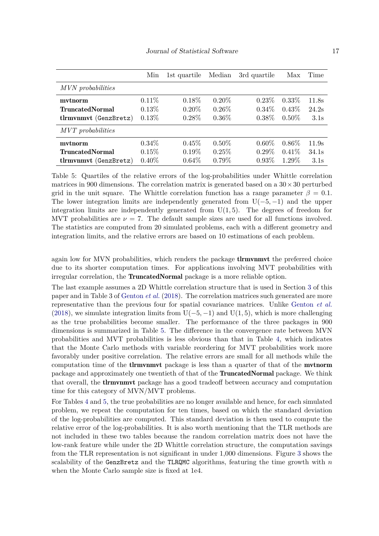<span id="page-16-0"></span>

|                        | Min      | 1st quartile | Median   | 3rd quartile | Max      | Time  |
|------------------------|----------|--------------|----------|--------------|----------|-------|
| MVN probabilities      |          |              |          |              |          |       |
| mytnorm                | $0.11\%$ | $0.18\%$     | $0.20\%$ | $0.23\%$     | $0.33\%$ | 11.8s |
| <b>TruncatedNormal</b> | $0.13\%$ | $0.20\%$     | $0.26\%$ | $0.34\%$     | $0.43\%$ | 24.2s |
| tlrmvnmvt (GenzBretz)  | $0.13\%$ | $0.28\%$     | $0.36\%$ | $0.38\%$     | $0.50\%$ | 3.1s  |
| MVT probabilities      |          |              |          |              |          |       |
| mytnorm                | $0.34\%$ | $0.45\%$     | $0.50\%$ | $0.60\%$     | $0.86\%$ | 11.9s |
| <b>TruncatedNormal</b> | $0.15\%$ | $0.19\%$     | $0.25\%$ | $0.29\%$     | $0.41\%$ | 34.1s |
| tlrmvnmvt (GenzBretz)  | $0.40\%$ | $0.64\%$     | $0.79\%$ | $0.93\%$     | $1.29\%$ | 3.1s  |

Table 5: Quartiles of the relative errors of the log-probabilities under Whittle correlation matrices in 900 dimensions. The correlation matrix is generated based on a  $30 \times 30$  perturbed grid in the unit square. The Whittle correlation function has a range parameter  $\beta = 0.1$ . The lower integration limits are independently generated from  $U(-5, -1)$  and the upper integration limits are independently generated from  $U(1,5)$ . The degrees of freedom for MVT probabilities are  $\nu = 7$ . The default sample sizes are used for all functions involved. The statistics are computed from 20 simulated problems, each with a different geometry and integration limits, and the relative errors are based on 10 estimations of each problem.

again low for MVN probabilities, which renders the package **theories** the preferred choice due to its shorter computation times. For applications involving MVT probabilities with irregular correlation, the TruncatedNormal package is a more reliable option.

The last example assumes a 2D Whittle correlation structure that is used in Section [3](#page-5-0) of this paper and in Table 3 of [Genton](#page-23-7) *et al.* [\(2018\)](#page-23-7). The correlation matrices such generated are more representative than the previous four for spatial covariance matrices. Unlike [Genton](#page-23-7) *et al.* [\(2018\)](#page-23-7), we simulate integration limits from  $U(-5, -1)$  and  $U(1, 5)$ , which is more challenging as the true probabilities become smaller. The performance of the three packages in 900 dimensions is summarized in Table [5.](#page-16-0) The difference in the convergence rate between MVN probabilities and MVT probabilities is less obvious than that in Table [4,](#page-15-1) which indicates that the Monte Carlo methods with variable reordering for MVT probabilities work more favorably under positive correlation. The relative errors are small for all methods while the computation time of the **the thronumity** package is less than a quarter of that of the **mvtnorm** package and approximately one twentieth of that of the TruncatedNormal package. We think that overall, the tlrmvnmvt package has a good tradeoff between accuracy and computation time for this category of MVN/MVT problems.

For Tables [4](#page-15-1) and [5,](#page-16-0) the true probabilities are no longer available and hence, for each simulated problem, we repeat the computation for ten times, based on which the standard deviation of the log-probabilities are computed. This standard deviation is then used to compute the relative error of the log-probabilities. It is also worth mentioning that the TLR methods are not included in these two tables because the random correlation matrix does not have the low-rank feature while under the 2D Whittle correlation structure, the computation savings from the TLR representation is not significant in under 1*,*000 dimensions. Figure [3](#page-17-1) shows the scalability of the GenzBretz and the TLRQMC algorithms, featuring the time growth with *n* when the Monte Carlo sample size is fixed at 1e4.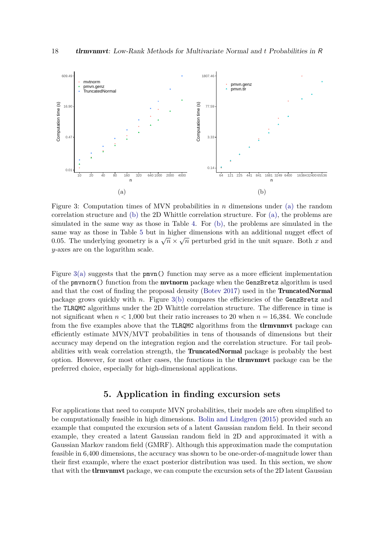<span id="page-17-1"></span>

Figure 3: Computation times of MVN probabilities in *n* dimensions under [\(a\)](#page-17-1) the random correlation structure and [\(b\)](#page-17-1) the 2D Whittle correlation structure. For [\(a\),](#page-17-1) the problems are simulated in the same way as those in Table [4.](#page-15-1) For [\(b\),](#page-17-1) the problems are simulated in the same way as those in Table [5](#page-16-0) but in higher dimensions with an additional nugget effect of  $\overline{Q}$ basing way as those in Table 5 but in higher dimensions with an additional hugget effect of  $0.05$ . The underlying geometry is a  $\sqrt{n} \times \sqrt{n}$  perturbed grid in the unit square. Both *x* and *y*-axes are on the logarithm scale.

Figure  $3(a)$  suggests that the pmvn() function may serve as a more efficient implementation of the pmvnorm() function from the **mvtnorm** package when the GenzBretz algorithm is used and that the cost of finding the proposal density [\(Botev](#page-22-5) [2017\)](#page-22-5) used in the **TruncatedNormal** package grows quickly with *n*. Figure [3\(b\)](#page-17-1) compares the efficiencies of the GenzBretz and the TLRQMC algorithms under the 2D Whittle correlation structure. The difference in time is not significant when  $n < 1,000$  but their ratio increases to 20 when  $n = 16,384$ . We conclude from the five examples above that the TLRQMC algorithms from the **theories** package can efficiently estimate MVN/MVT probabilities in tens of thousands of dimensions but their accuracy may depend on the integration region and the correlation structure. For tail probabilities with weak correlation strength, the TruncatedNormal package is probably the best option. However, for most other cases, the functions in the tlrmvnmvt package can be the preferred choice, especially for high-dimensional applications.

# **5. Application in finding excursion sets**

<span id="page-17-0"></span>For applications that need to compute MVN probabilities, their models are often simplified to be computationally feasible in high dimensions. [Bolin and Lindgren](#page-22-1) [\(2015\)](#page-22-1) provided such an example that computed the excursion sets of a latent Gaussian random field. In their second example, they created a latent Gaussian random field in 2D and approximated it with a Gaussian Markov random field (GMRF). Although this approximation made the computation feasible in 6*,*400 dimensions, the accuracy was shown to be one-order-of-magnitude lower than their first example, where the exact posterior distribution was used. In this section, we show that with the **tlrmvnmvt** package, we can compute the excursion sets of the 2D latent Gaussian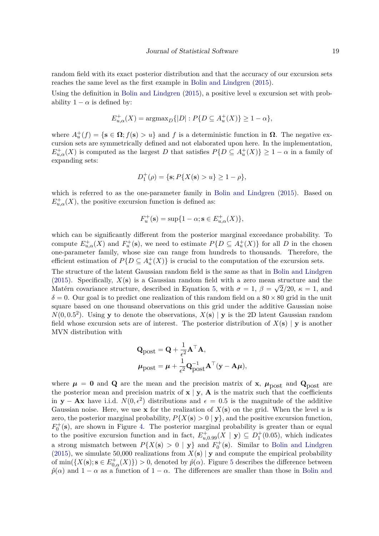random field with its exact posterior distribution and that the accuracy of our excursion sets reaches the same level as the first example in [Bolin and Lindgren](#page-22-1) [\(2015\)](#page-22-1).

Using the definition in [Bolin and Lindgren](#page-22-1) [\(2015\)](#page-22-1), a positive level *u* excursion set with probability  $1 - \alpha$  is defined by:

$$
E_{u,\alpha}^{+}(X) = \text{argmax}_{D} \{|D| : P\{D \subseteq A_{u}^{+}(X)\} \ge 1 - \alpha\},\
$$

where  $A_u^+(f) = \{ \mathbf{s} \in \Omega; f(\mathbf{s}) > u \}$  and *f* is a deterministic function in  $\Omega$ . The negative excursion sets are symmetrically defined and not elaborated upon here. In the implementation,  $E_{u,\alpha}^{+}(X)$  is computed as the largest *D* that satisfies  $P\{D \subseteq A_u^{+}(X)\} \geq 1 - \alpha$  in a family of expanding sets:

$$
D_1^+(\rho) = \{ \mathbf{s}; P\{X(\mathbf{s}) > u\} \ge 1 - \rho \},\
$$

which is referred to as the one-parameter family in [Bolin and Lindgren](#page-22-1) [\(2015\)](#page-22-1). Based on  $E_{u,\alpha}^{+}(X)$ , the positive excursion function is defined as:

$$
F_u^+(\mathbf{s}) = \sup\{1 - \alpha; \mathbf{s} \in E_{u,\alpha}^+(X)\},\
$$

which can be significantly different from the posterior marginal exceedance probability. To compute  $E_{u,\alpha}^+(X)$  and  $F_u^+(\mathbf{s})$ , we need to estimate  $P\{D \subseteq A_u^+(X)\}\)$  for all *D* in the chosen one-parameter family, whose size can range from hundreds to thousands. Therefore, the efficient estimation of  $P\{D \subseteq A_u^+(X)\}\$ is crucial to the computation of the excursion sets.

The structure of the latent Gaussian random field is the same as that in [Bolin and Lindgren](#page-22-1) [\(2015\)](#page-22-1). Specifically,  $X(\mathbf{s})$  is a Gaussian random field with a zero mean structure and the Matérn covariance structure, described in Equation [5,](#page-6-0) with  $\sigma = 1$ ,  $\beta = \sqrt{2}/20$ ,  $\kappa = 1$ , and  $\delta = 0$ . Our goal is to predict one realization of this random field on a  $80 \times 80$  grid in the unit square based on one thousand observations on this grid under the additive Gaussian noise  $N(0, 0.5^2)$ . Using **y** to denote the observations,  $X(\mathbf{s}) | \mathbf{y}$  is the 2D latent Gaussian random field whose excursion sets are of interest. The posterior distribution of *X*(**s**) | **y** is another MVN distribution with

$$
\begin{aligned} \mathbf{Q}_{\text{post}} &= \mathbf{Q} + \frac{1}{\epsilon^2} \mathbf{A}^\top \mathbf{A}, \\ \mathbf{\mu}_{\text{post}} &= \boldsymbol{\mu} + \frac{1}{\epsilon^2} \mathbf{Q}_{\text{post}}^{-1} \mathbf{A}^\top (\mathbf{y} - \mathbf{A} \boldsymbol{\mu}), \end{aligned}
$$

where  $\mu = 0$  and **Q** are the mean and the precision matrix of **x**,  $\mu_{\text{post}}$  and **Q**<sub>post</sub> are the posterior mean and precision matrix of  $x \mid y$ , **A** is the matrix such that the coefficients in **y** − **Ax** have i.i.d.  $N(0, \epsilon^2)$  distributions and  $\epsilon = 0.5$  is the magnitude of the additive Gaussian noise. Here, we use **x** for the realization of  $X(\mathbf{s})$  on the grid. When the level u is zero, the posterior marginal probability,  $P\{X(\mathbf{s})>0 \mid \mathbf{y}\}\)$ , and the positive excursion function,  $F_0^+$ (s), are shown in Figure [4.](#page-19-0) The posterior marginal probability is greater than or equal to the positive excursion function and in fact,  $E_{u,0.99}^+(X | \mathbf{y}) \subseteq D_1^+(0.05)$ , which indicates a strong mismatch between  $P\{X(s) > 0 \mid y\}$  and  $F_0^+(\mathbf{s})$ . Similar to [Bolin and Lindgren](#page-22-1) [\(2015\)](#page-22-1), we simulate 50,000 realizations from  $X(\mathbf{s}) | \mathbf{y}$  and compute the empirical probability of  $\min(\{X(\mathbf{s}); \mathbf{s} \in E_{0,\alpha}^+(X)\}) > 0$ , denoted by  $\hat{p}(\alpha)$ . Figure [5](#page-19-1) describes the difference between  $\hat{p}(\alpha)$  and  $1 - \alpha$  as a function of  $1 - \alpha$ . The differences are smaller than those in [Bolin and](#page-22-1)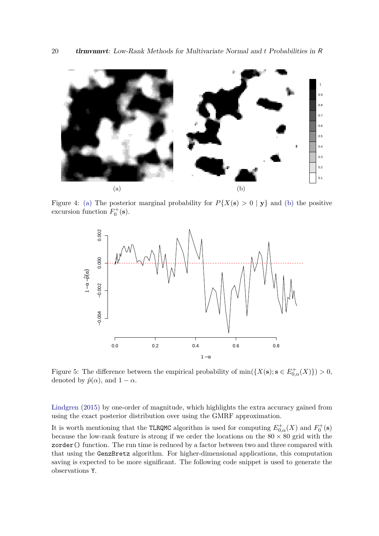<span id="page-19-0"></span>

Figure 4: [\(a\)](#page-19-0) The posterior marginal probability for  $P\{X(\mathbf{s}) > 0 \mid \mathbf{y}\}\$ and [\(b\)](#page-19-0) the positive excursion function  $F_0^+$ (**s**).

<span id="page-19-1"></span>

Figure 5: The difference between the empirical probability of  $min({X(s); s \in E_{0,\alpha}^+(X)} > 0$ , denoted by  $\hat{p}(\alpha)$ , and  $1 - \alpha$ .

[Lindgren](#page-22-1) [\(2015\)](#page-22-1) by one-order of magnitude, which highlights the extra accuracy gained from using the exact posterior distribution over using the GMRF approximation.

It is worth mentioning that the TLRQMC algorithm is used for computing  $E_{0,\alpha}^{+}(X)$  and  $F_0^{+}(\mathbf{s})$ because the low-rank feature is strong if we order the locations on the  $80 \times 80$  grid with the zorder() function. The run time is reduced by a factor between two and three compared with that using the GenzBretz algorithm. For higher-dimensional applications, this computation saving is expected to be more significant. The following code snippet is used to generate the observations Y.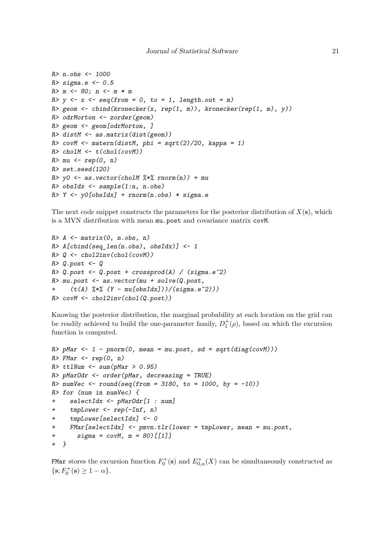```
R> n.obs <- 1000
R > sigma.e <-0.5R> m <- 80; n <- m * m
R > y \leftarrow x \leftarrow seq(from = 0, to = 1, length.out = m)R> geom \le cbind(kronecker(x, rep(1, m)), kronecker(rep(1, m), y))
R> odrMorton <- zorder(geom)
R> geom <- geom[odrMorton, ]
R> distM <- as.matrix(dist(geom))
R> covM <- matern(distM, phi = sqrt(2)/20, kappa = 1)
R> cholM <- t(chol(covM))
R > mu \leftarrow rep(0, n)R> set.seed(120)
R> y0 <- as.vector(cholM %*% rnorm(n)) + mu
R> obsIdx <- sample(1:n, n.obs)
R > Y \leftarrow y0[obsIdx] + rnorm(n.obs) * sigma.e
```
The next code snippet constructs the parameters for the posterior distribution of  $X(\mathbf{s})$ , which is a MVN distribution with mean mu.post and covariance matrix covM.

```
R > A \leftarrow matrix(0, n.obs, n)R > A[cbind(seq\_len(n.obs), obsIdx] <- 1
R > Q \leftarrow chol2inv(chol(covM))R > Q.post \leftarrow QR> Q.post <- Q.post + crossprod(A) / (sigma.e^2)
R> mu.post <- as.vector(mu + solve(Q.post,
+ (t(A) \frac{1}{6} \frac{1}{6} (Y - mu[obsIdx]))/(sigma.e^2))R> covM <- chol2inv(chol(Q.post))
```
Knowing the posterior distribution, the marginal probability at each location on the grid can be readily achieved to build the one-parameter family,  $D_1^+(\rho)$ , based on which the excursion function is computed.

```
R> pMar <- 1 - pnorm(0, mean = mu.post, sd = sqrt(diag(covM)))
R> FMar <- rep(0, n)
R> ttlNum <- sum(pMar > 0.95)
R> pMarOdr <- order(pMar, decreasing = TRUE)
R numVec \leftarrow round(seq(from = 3180, to = 1000, by = -10))
R> for (num in numVec) {
+ selectIdx <- pMarOdr[1 : num]
+ tmpLower <- rep(-Inf, n)
    + tmpLower[selectIdx] <- 0
  FMar[selectIdx] \leq - pmvn.tlr(lower = tmpLower, mean = mu.post,sigma = covM, m = 80) [[1]]
+ }
```
FMar stores the excursion function  $F_0^+$  (s) and  $E_{0,\alpha}^+(X)$  can be simultaneously constructed as  ${s; F_0^+(s) \ge 1 - \alpha}.$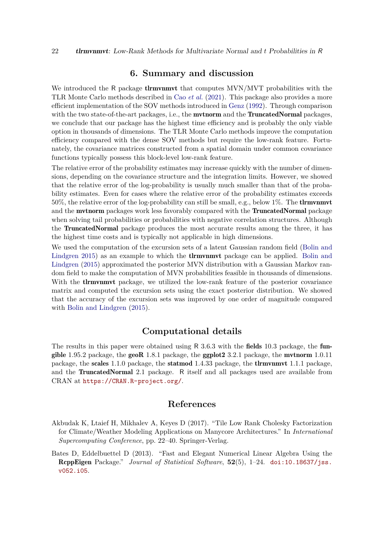### **6. Summary and discussion**

<span id="page-21-1"></span>We introduced the R package **theoright** that computes MVN/MVT probabilities with the TLR Monte Carlo methods described in Cao *[et al.](#page-22-2)* [\(2021\)](#page-22-2). This package also provides a more efficient implementation of the SOV methods introduced in [Genz](#page-23-4) [\(1992\)](#page-23-4). Through comparison with the two state-of-the-art packages, i.e., the **mythorm** and the **TruncatedNormal** packages, we conclude that our package has the highest time efficiency and is probably the only viable option in thousands of dimensions. The TLR Monte Carlo methods improve the computation efficiency compared with the dense SOV methods but require the low-rank feature. Fortunately, the covariance matrices constructed from a spatial domain under common covariance functions typically possess this block-level low-rank feature.

The relative error of the probability estimates may increase quickly with the number of dimensions, depending on the covariance structure and the integration limits. However, we showed that the relative error of the log-probability is usually much smaller than that of the probability estimates. Even for cases where the relative error of the probability estimates exceeds 50%, the relative error of the log-probability can still be small, e.g., below 1%. The tlrmvnmvt and the **mutnorm** packages work less favorably compared with the **TruncatedNormal** package when solving tail probabilities or probabilities with negative correlation structures. Although the TruncatedNormal package produces the most accurate results among the three, it has the highest time costs and is typically not applicable in high dimensions.

We used the computation of the excursion sets of a latent Gaussian random field [\(Bolin and](#page-22-1) [Lindgren](#page-22-1) [2015\)](#page-22-1) as an example to which the **the example of** package can be applied. [Bolin and](#page-22-1) [Lindgren](#page-22-1) [\(2015\)](#page-22-1) approximated the posterior MVN distribution with a Gaussian Markov random field to make the computation of MVN probabilities feasible in thousands of dimensions. With the **tlrmvnmvt** package, we utilized the low-rank feature of the posterior covariance matrix and computed the excursion sets using the exact posterior distribution. We showed that the accuracy of the excursion sets was improved by one order of magnitude compared with [Bolin and Lindgren](#page-22-1)  $(2015)$ .

# **Computational details**

The results in this paper were obtained using R  $3.6.3$  with the **fields** 10.3 package, the **fun**gible 1.95.2 package, the geoR 1.8.1 package, the ggplot  $2\,3.2.1$  package, the mutnorm 1.0.11 package, the scales 1.1.0 package, the statmod 1.4.33 package, the tlrmvnmvt 1.1.1 package, and the TruncatedNormal 2.1 package. R itself and all packages used are available from CRAN at <https://CRAN.R-project.org/>.

#### **References**

- <span id="page-21-0"></span>Akbudak K, Ltaief H, Mikhalev A, Keyes D (2017). "Tile Low Rank Cholesky Factorization for Climate/Weather Modeling Applications on Manycore Architectures." In *International Supercomputing Conference*, pp. 22–40. Springer-Verlag.
- <span id="page-21-2"></span>Bates D, Eddelbuettel D (2013). "Fast and Elegant Numerical Linear Algebra Using the RcppEigen Package." *Journal of Statistical Software*, **52**(5), 1–24. [doi:10.18637/jss.](https://doi.org/10.18637/jss.v052.i05) [v052.i05](https://doi.org/10.18637/jss.v052.i05).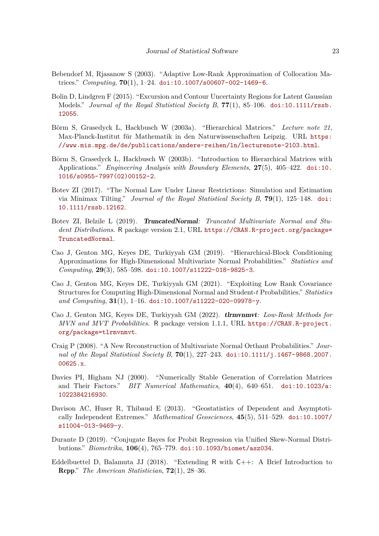- <span id="page-22-12"></span>Bebendorf M, Rjasanow S (2003). "Adaptive Low-Rank Approximation of Collocation Matrices." *Computing*, **70**(1), 1–24. [doi:10.1007/s00607-002-1469-6](https://doi.org/10.1007/s00607-002-1469-6).
- <span id="page-22-1"></span>Bolin D, Lindgren F (2015). "Excursion and Contour Uncertainty Regions for Latent Gaussian Models." *Journal of the Royal Statistical Society B*, **77**(1), 85–106. [doi:10.1111/rssb.](https://doi.org/10.1111/rssb.12055) [12055](https://doi.org/10.1111/rssb.12055).
- <span id="page-22-10"></span>Börm S, Grasedyck L, Hackbusch W (2003a). "Hierarchical Matrices." *Lecture note 21*, Max-Planck-Institut für Mathematik in den Naturwissenschaften Leipzig. URL [https:](https://www.mis.mpg.de/de/publications/andere-reihen/ln/lecturenote-2103.html) [//www.mis.mpg.de/de/publications/andere-reihen/ln/lecturenote-2103.html](https://www.mis.mpg.de/de/publications/andere-reihen/ln/lecturenote-2103.html).
- <span id="page-22-9"></span>Börm S, Grasedyck L, Hackbusch W (2003b). "Introduction to Hierarchical Matrices with Applications." *Engineering Analysis with Boundary Elements*, **27**(5), 405–422. [doi:10.](https://doi.org/10.1016/s0955-7997(02)00152-2) [1016/s0955-7997\(02\)00152-2](https://doi.org/10.1016/s0955-7997(02)00152-2).
- <span id="page-22-5"></span>Botev ZI (2017). "The Normal Law Under Linear Restrictions: Simulation and Estimation via Minimax Tilting." *Journal of the Royal Statistical Society B*, **79**(1), 125–148. [doi:](https://doi.org/10.1111/rssb.12162) [10.1111/rssb.12162](https://doi.org/10.1111/rssb.12162).
- <span id="page-22-8"></span>Botev ZI, Belzile L (2019). TruncatedNormal*: Truncated Multivariate Normal and Student Distributions*. R package version 2.1, URL [https://CRAN.R-project.org/package=](https://CRAN.R-project.org/package=TruncatedNormal) [TruncatedNormal](https://CRAN.R-project.org/package=TruncatedNormal).
- <span id="page-22-6"></span>Cao J, Genton MG, Keyes DE, Turkiyyah GM (2019). "Hierarchical-Block Conditioning Approximations for High-Dimensional Multivariate Normal Probabilities." *Statistics and Computing*, **29**(3), 585–598. [doi:10.1007/s11222-018-9825-3](https://doi.org/10.1007/s11222-018-9825-3).
- <span id="page-22-2"></span>Cao J, Genton MG, Keyes DE, Turkiyyah GM (2021). "Exploiting Low Rank Covariance Structures for Computing High-Dimensional Normal and Student-*t* Probabilities." *Statistics and Computing*, **31**(1), 1–16. [doi:10.1007/s11222-020-09978-y](https://doi.org/10.1007/s11222-020-09978-y).
- <span id="page-22-7"></span>Cao J, Genton MG, Keyes DE, Turkiyyah GM (2022). tlrmvnmvt*: Low-Rank Methods for MVN and MVT Probabilities*. R package version 1.1.1, URL [https://CRAN.R-project.](https://CRAN.R-project.org/package=tlrmvnmvt) [org/package=tlrmvnmvt](https://CRAN.R-project.org/package=tlrmvnmvt).
- <span id="page-22-4"></span>Craig P (2008). "A New Reconstruction of Multivariate Normal Orthant Probabilities." *Journal of the Royal Statistical Society B*, **70**(1), 227–243. [doi:10.1111/j.1467-9868.2007.](https://doi.org/10.1111/j.1467-9868.2007.00625.x) [00625.x](https://doi.org/10.1111/j.1467-9868.2007.00625.x).
- <span id="page-22-13"></span>Davies PI, Higham NJ (2000). "Numerically Stable Generation of Correlation Matrices and Their Factors." *BIT Numerical Mathematics*, **40**(4), 640–651. [doi:10.1023/a:](https://doi.org/10.1023/a:1022384216930) [1022384216930](https://doi.org/10.1023/a:1022384216930).
- <span id="page-22-3"></span>Davison AC, Huser R, Thibaud E (2013). "Geostatistics of Dependent and Asymptotically Independent Extremes." *Mathematical Geosciences*, **45**(5), 511–529. [doi:10.1007/](https://doi.org/10.1007/s11004-013-9469-y) [s11004-013-9469-y](https://doi.org/10.1007/s11004-013-9469-y).
- <span id="page-22-0"></span>Durante D (2019). "Conjugate Bayes for Probit Regression via Unified Skew-Normal Distributions." *Biometrika*, **106**(4), 765–779. [doi:10.1093/biomet/asz034](https://doi.org/10.1093/biomet/asz034).
- <span id="page-22-11"></span>Eddelbuettel D, Balamuta JJ (2018). "Extending R with C++: A Brief Introduction to Rcpp." *The American Statistician*, **72**(1), 28–36.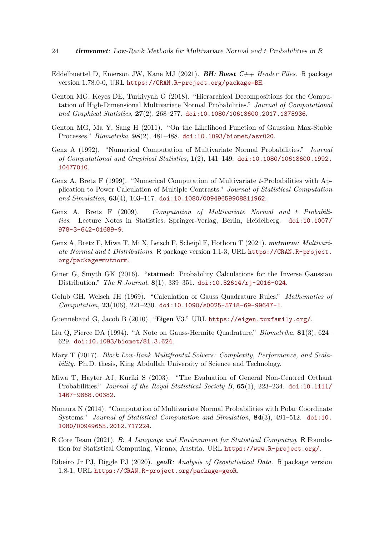- <span id="page-23-11"></span>Eddelbuettel D, Emerson JW, Kane MJ (2021). BH*:* Boost C++ *Header Files*. R package version 1.78.0-0, URL <https://CRAN.R-project.org/package=BH>.
- <span id="page-23-7"></span>Genton MG, Keyes DE, Turkiyyah G (2018). "Hierarchical Decompositions for the Computation of High-Dimensional Multivariate Normal Probabilities." *Journal of Computational and Graphical Statistics*, **27**(2), 268–277. [doi:10.1080/10618600.2017.1375936](https://doi.org/10.1080/10618600.2017.1375936).
- <span id="page-23-0"></span>Genton MG, Ma Y, Sang H (2011). "On the Likelihood Function of Gaussian Max-Stable Processes." *Biometrika*, **98**(2), 481–488. [doi:10.1093/biomet/asr020](https://doi.org/10.1093/biomet/asr020).
- <span id="page-23-4"></span>Genz A (1992). "Numerical Computation of Multivariate Normal Probabilities." *Journal of Computational and Graphical Statistics*, **1**(2), 141–149. [doi:10.1080/10618600.1992.](https://doi.org/10.1080/10618600.1992.10477010) [10477010](https://doi.org/10.1080/10618600.1992.10477010).
- <span id="page-23-15"></span>Genz A, Bretz F (1999). "Numerical Computation of Multivariate *t*-Probabilities with Application to Power Calculation of Multiple Contrasts." *Journal of Statistical Computation and Simulation*, **63**(4), 103–117. [doi:10.1080/00949659908811962](https://doi.org/10.1080/00949659908811962).
- <span id="page-23-3"></span>Genz A, Bretz F (2009). *Computation of Multivariate Normal and t Probabilities*. Lecture Notes in Statistics. Springer-Verlag, Berlin, Heidelberg. [doi:10.1007/](https://doi.org/10.1007/978-3-642-01689-9) [978-3-642-01689-9](https://doi.org/10.1007/978-3-642-01689-9).
- <span id="page-23-2"></span>Genz A, Bretz F, Miwa T, Mi X, Leisch F, Scheipl F, Hothorn T (2021). mvtnorm*: Multivariate Normal and t Distributions*. R package version 1.1-3, URL [https://CRAN.R-project.](https://CRAN.R-project.org/package=mvtnorm) [org/package=mvtnorm](https://CRAN.R-project.org/package=mvtnorm).
- <span id="page-23-14"></span>Giner G, Smyth GK (2016). "statmod: Probability Calculations for the Inverse Gaussian Distribution." *The* R *Journal*, **8**(1), 339–351. [doi:10.32614/rj-2016-024](https://doi.org/10.32614/rj-2016-024).
- <span id="page-23-12"></span>Golub GH, Welsch JH (1969). "Calculation of Gauss Quadrature Rules." *Mathematics of Computation*, **23**(106), 221–230. [doi:10.1090/s0025-5718-69-99647-1](https://doi.org/10.1090/s0025-5718-69-99647-1).
- <span id="page-23-10"></span>Guennebaud G, Jacob B (2010). "Eigen V3." URL <https://eigen.tuxfamily.org/>.
- <span id="page-23-13"></span>Liu Q, Pierce DA (1994). "A Note on Gauss-Hermite Quadrature." *Biometrika*, **81**(3), 624– 629. [doi:10.1093/biomet/81.3.624](https://doi.org/10.1093/biomet/81.3.624).
- <span id="page-23-8"></span>Mary T (2017). *Block Low-Rank Multifrontal Solvers: Complexity, Performance, and Scalability*. Ph.D. thesis, King Abdullah University of Science and Technology.
- <span id="page-23-5"></span>Miwa T, Hayter AJ, Kuriki S (2003). "The Evaluation of General Non-Centred Orthant Probabilities." *Journal of the Royal Statistical Society B*, **65**(1), 223–234. [doi:10.1111/](https://doi.org/10.1111/1467-9868.00382) [1467-9868.00382](https://doi.org/10.1111/1467-9868.00382).
- <span id="page-23-6"></span>Nomura N (2014). "Computation of Multivariate Normal Probabilities with Polar Coordinate Systems." *Journal of Statistical Computation and Simulation*, **84**(3), 491–512. [doi:10.](https://doi.org/10.1080/00949655.2012.717224) [1080/00949655.2012.717224](https://doi.org/10.1080/00949655.2012.717224).
- <span id="page-23-1"></span>R Core Team (2021). R*: A Language and Environment for Statistical Computing*. R Foundation for Statistical Computing, Vienna, Austria. URL <https://www.R-project.org/>.
- <span id="page-23-9"></span>Ribeiro Jr PJ, Diggle PJ (2020). geoR*: Analysis of Geostatistical Data*. R package version 1.8-1, URL <https://CRAN.R-project.org/package=geoR>.